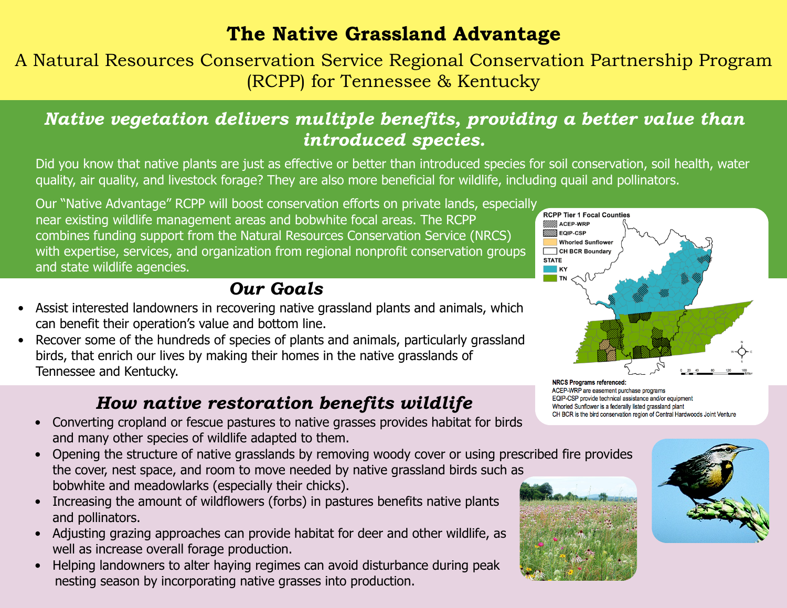## **The Native Grassland Advantage**

A Natural Resources Conservation Service Regional Conservation Partnership Program (RCPP) for Tennessee & Kentucky

## *Native vegetation delivers multiple benefits, providing a better value than introduced species.*

Did you know that native plants are just as effective or better than introduced species for soil conservation, soil health, water quality, air quality, and livestock forage? They are also more beneficial for wildlife, including quail and pollinators.

Our "Native Advantage" RCPP will boost conservation efforts on private lands, especially near existing wildlife management areas and bobwhite focal areas. The RCPP combines funding support from the Natural Resources Conservation Service (NRCS) with expertise, services, and organization from regional nonprofit conservation groups and state wildlife agencies.

## *Our Goals*

- Assist interested landowners in recovering native grassland plants and animals, which can benefit their operation's value and bottom line.
- Recover some of the hundreds of species of plants and animals, particularly grassland birds, that enrich our lives by making their homes in the native grasslands of Tennessee and Kentucky.

### *How native restoration benefits wildlife*

- Converting cropland or fescue pastures to native grasses provides habitat for birds and many other species of wildlife adapted to them.
- Opening the structure of native grasslands by removing woody cover or using prescribed fire provides the cover, nest space, and room to move needed by native grassland birds such as bobwhite and meadowlarks (especially their chicks).
- Increasing the amount of wildflowers (forbs) in pastures benefits native plants and pollinators.
- Adjusting grazing approaches can provide habitat for deer and other wildlife, as well as increase overall forage production.
- Helping landowners to alter haying regimes can avoid disturbance during peak nesting season by incorporating native grasses into production.



**NRCS Programs referenced:** ACEP-WRP are easement purchase programs EQIP-CSP provide technical assistance and/or equipment Whorled Sunflower is a federally listed grassland plant CH BCR is the bird conservation region of Central Hardwoods Joint Venture